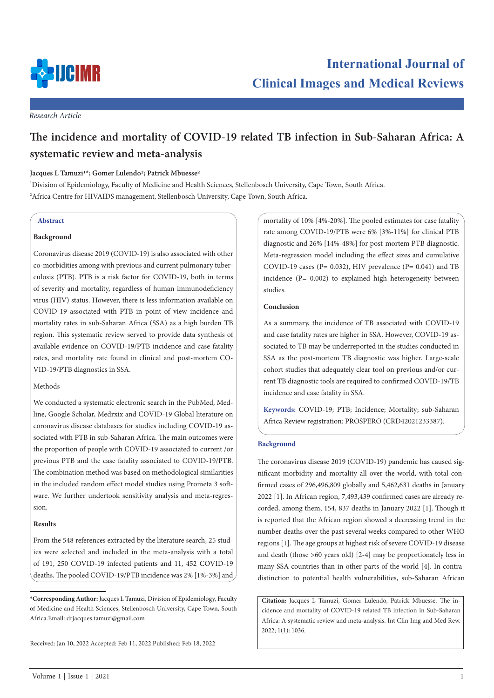

## *Research Article*

# **The incidence and mortality of COVID-19 related TB infection in Sub-Saharan Africa: A systematic review and meta-analysis**

Jacques L Tamuzi<sup>1\*</sup>; Gomer Lulendo<sup>2</sup>; Patrick Mbuesse<sup>2</sup>

1 Division of Epidemiology, Faculty of Medicine and Health Sciences, Stellenbosch University, Cape Town, South Africa. <sup>2</sup>Africa Centre for HIVAIDS management, Stellenbosch University, Cape Town, South Africa.

### **Abstract**

## **Background**

Coronavirus disease 2019 (COVID-19) is also associated with other co-morbidities among with previous and current pulmonary tuberculosis (PTB). PTB is a risk factor for COVID-19, both in terms of severity and mortality, regardless of human immunodeficiency virus (HIV) status. However, there is less information available on COVID-19 associated with PTB in point of view incidence and mortality rates in sub-Saharan Africa (SSA) as a high burden TB region. This systematic review served to provide data synthesis of available evidence on COVID-19/PTB incidence and case fatality rates, and mortality rate found in clinical and post-mortem CO-VID-19/PTB diagnostics in SSA.

# Methods

We conducted a systematic electronic search in the PubMed, Medline, Google Scholar, Medrxix and COVID-19 Global literature on coronavirus disease databases for studies including COVID-19 associated with PTB in sub-Saharan Africa. The main outcomes were the proportion of people with COVID-19 associated to current /or previous PTB and the case fatality associated to COVID-19/PTB. The combination method was based on methodological similarities in the included random effect model studies using Prometa 3 software. We further undertook sensitivity analysis and meta-regression.

### **Results**

From the 548 references extracted by the literature search, 25 studies were selected and included in the meta-analysis with a total of 191, 250 COVID-19 infected patients and 11, 452 COVID-19 deaths. The pooled COVID-19/PTB incidence was 2% [1%-3%] and

Received: Jan 10, 2022 Accepted: Feb 11, 2022 Published: Feb 18, 2022

mortality of 10% [4%-20%]. The pooled estimates for case fatality rate among COVID-19/PTB were 6% [3%-11%] for clinical PTB diagnostic and 26% [14%-48%] for post-mortem PTB diagnostic. Meta-regression model including the effect sizes and cumulative COVID-19 cases ( $P = 0.032$ ), HIV prevalence ( $P = 0.041$ ) and TB incidence (P= 0.002) to explained high heterogeneity between studies.

# **Conclusion**

As a summary, the incidence of TB associated with COVID-19 and case fatality rates are higher in SSA. However, COVID-19 associated to TB may be underreported in the studies conducted in SSA as the post-mortem TB diagnostic was higher. Large-scale cohort studies that adequately clear tool on previous and/or current TB diagnostic tools are required to confirmed COVID-19/TB incidence and case fatality in SSA.

**Keywords:** COVID-19; PTB; Incidence; Mortality; sub-Saharan Africa Review registration: PROSPERO (CRD42021233387).

## **Background**

The coronavirus disease 2019 (COVID-19) pandemic has caused significant morbidity and mortality all over the world, with total confirmed cases of 296,496,809 globally and 5,462,631 deaths in January 2022 [1]. In African region, 7,493,439 confirmed cases are already recorded, among them, 154, 837 deaths in January 2022 [1]. Though it is reported that the African region showed a decreasing trend in the number deaths over the past several weeks compared to other WHO regions [1]. The age groups at highest risk of severe COVID-19 disease and death (those >60 years old) [2-4] may be proportionately less in many SSA countries than in other parts of the world [4]. In contradistinction to potential health vulnerabilities, sub-Saharan African

**Citation:** Jacques L Tamuzi, Gomer Lulendo, Patrick Mbuesse. The incidence and mortality of COVID-19 related TB infection in Sub-Saharan Africa: A systematic review and meta-analysis. Int Clin Img and Med Rew. 2022; 1(1): 1036.

**<sup>\*</sup>Corresponding Author:** Jacques L Tamuzi, Division of Epidemiology, Faculty of Medicine and Health Sciences, Stellenbosch University, Cape Town, South Africa.Email: drjacques.tamuzi@gmail.com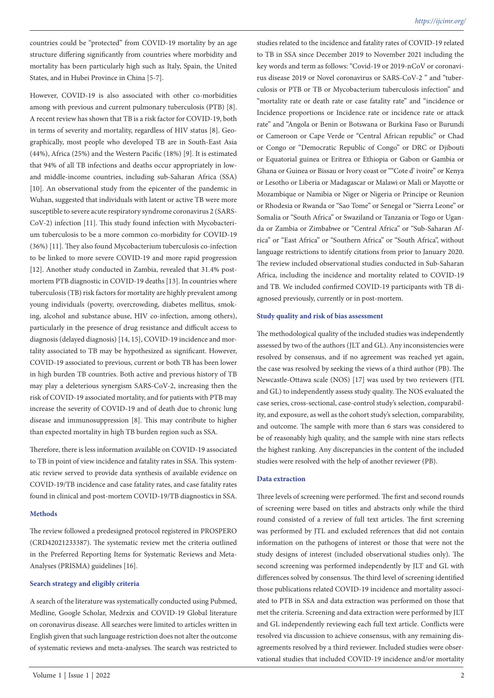countries could be "protected" from COVID-19 mortality by an age structure differing significantly from countries where morbidity and mortality has been particularly high such as Italy, Spain, the United States, and in Hubei Province in China [5-7].

However, COVID-19 is also associated with other co-morbidities among with previous and current pulmonary tuberculosis (PTB) [8]. A recent review has shown that TB is a risk factor for COVID-19, both in terms of severity and mortality, regardless of HIV status [8]. Geographically, most people who developed TB are in South-East Asia (44%), Africa (25%) and the Western Pacific (18%) [9]. It is estimated that 94% of all TB infections and deaths occur appropriately in lowand middle-income countries, including sub-Saharan Africa (SSA) [10]. An observational study from the epicenter of the pandemic in Wuhan, suggested that individuals with latent or active TB were more susceptible to severe acute respiratory syndrome coronavirus 2 (SARS-CoV-2) infection [11]. This study found infection with Mycobacterium tuberculosis to be a more common co-morbidity for COVID-19 (36%) [11]. They also found Mycobacterium tuberculosis co-infection to be linked to more severe COVID-19 and more rapid progression [12]. Another study conducted in Zambia, revealed that 31.4% postmortem PTB diagnostic in COVID-19 deaths [13]. In countries where tuberculosis (TB) risk factors for mortality are highly prevalent among young individuals (poverty, overcrowding, diabetes mellitus, smoking, alcohol and substance abuse, HIV co-infection, among others), particularly in the presence of drug resistance and difficult access to diagnosis (delayed diagnosis) [14, 15], COVID-19 incidence and mortality associated to TB may be hypothesized as significant. However, COVID-19 associated to previous, current or both TB has been lower in high burden TB countries. Both active and previous history of TB may play a deleterious synergism SARS-CoV-2, increasing then the risk of COVID-19 associated mortality, and for patients with PTB may increase the severity of COVID-19 and of death due to chronic lung disease and immunosuppression [8]. This may contribute to higher than expected mortality in high TB burden region such as SSA.

Therefore, there is less information available on COVID-19 associated to TB in point of view incidence and fatality rates in SSA. This systematic review served to provide data synthesis of available evidence on COVID-19/TB incidence and case fatality rates, and case fatality rates found in clinical and post-mortem COVID-19/TB diagnostics in SSA.

### **Methods**

The review followed a predesigned protocol registered in PROSPERO (CRD42021233387). The systematic review met the criteria outlined in the Preferred Reporting Items for Systematic Reviews and Meta-Analyses (PRISMA) guidelines [16].

# **Search strategy and eligibly criteria**

A search of the literature was systematically conducted using Pubmed, Medline, Google Scholar, Medrxix and COVID-19 Global literature on coronavirus disease. All searches were limited to articles written in English given that such language restriction does not alter the outcome of systematic reviews and meta-analyses. The search was restricted to

studies related to the incidence and fatality rates of COVID-19 related to TB in SSA since December 2019 to November 2021 including the key words and term as follows: "Covid-19 or 2019-nCoV or coronavirus disease 2019 or Novel coronavirus or SARS-CoV-2 " and "tuberculosis or PTB or TB or Mycobacterium tuberculosis infection" and "mortality rate or death rate or case fatality rate" and "incidence or Incidence proportions or Incidence rate or incidence rate or attack rate" and "Angola or Benin or Botswana or Burkina Faso or Burundi or Cameroon or Cape Verde or "Central African republic" or Chad or Congo or "Democratic Republic of Congo" or DRC or Djibouti or Equatorial guinea or Eritrea or Ethiopia or Gabon or Gambia or Ghana or Guinea or Bissau or Ivory coast or ""Cote d' ivoire" or Kenya or Lesotho or Liberia or Madagascar or Malawi or Mali or Mayotte or Mozambique or Namibia or Niger or Nigeria or Principe or Reunion or Rhodesia or Rwanda or "Sao Tome" or Senegal or "Sierra Leone" or Somalia or "South Africa" or Swaziland or Tanzania or Togo or Uganda or Zambia or Zimbabwe or "Central Africa" or "Sub-Saharan Africa" or "East Africa" or "Southern Africa" or "South Africa", without language restrictions to identify citations from prior to January 2020. The review included observational studies conducted in Sub-Saharan Africa, including the incidence and mortality related to COVID-19 and TB. We included confirmed COVID-19 participants with TB diagnosed previously, currently or in post-mortem.

### **Study quality and risk of bias assessment**

The methodological quality of the included studies was independently assessed by two of the authors (JLT and GL). Any inconsistencies were resolved by consensus, and if no agreement was reached yet again, the case was resolved by seeking the views of a third author (PB). The Newcastle-Ottawa scale (NOS) [17] was used by two reviewers (JTL and GL) to independently assess study quality. The NOS evaluated the case series, cross-sectional, case-control study's selection, comparability, and exposure, as well as the cohort study's selection, comparability, and outcome. The sample with more than 6 stars was considered to be of reasonably high quality, and the sample with nine stars reflects the highest ranking. Any discrepancies in the content of the included studies were resolved with the help of another reviewer (PB).

### **Data extraction**

Three levels of screening were performed. The first and second rounds of screening were based on titles and abstracts only while the third round consisted of a review of full text articles. The first screening was performed by JTL and excluded references that did not contain information on the pathogens of interest or those that were not the study designs of interest (included observational studies only). The second screening was performed independently by JLT and GL with differences solved by consensus. The third level of screening identified those publications related COVID-19 incidence and mortality associated to PTB in SSA and data extraction was performed on those that met the criteria. Screening and data extraction were performed by JLT and GL independently reviewing each full text article. Conflicts were resolved via discussion to achieve consensus, with any remaining disagreements resolved by a third reviewer. Included studies were observational studies that included COVID-19 incidence and/or mortality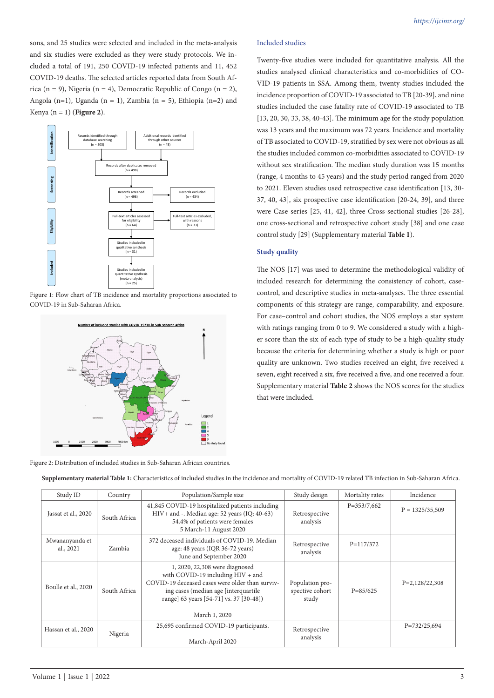sons, and 25 studies were selected and included in the meta-analysis and six studies were excluded as they were study protocols. We included a total of 191, 250 COVID-19 infected patients and 11, 452 COVID-19 deaths. The selected articles reported data from South Africa (n = 9), Nigeria (n = 4), Democratic Republic of Congo (n = 2), Angola (n=1), Uganda (n = 1), Zambia (n = 5), Ethiopia (n=2) and Kenya (n = 1) (**Figure 2**).



Figure 1: Flow chart of TB incidence and mortality proportions associated to COVID-19 in Sub-Saharan Africa.



Figure 2: Distribution of included studies in Sub-Saharan African countries.

# Included studies

Twenty-five studies were included for quantitative analysis. All the studies analysed clinical characteristics and co-morbidities of CO-VID-19 patients in SSA. Among them, twenty studies included the incidence proportion of COVID-19 associated to TB [20-39], and nine studies included the case fatality rate of COVID-19 associated to TB [13, 20, 30, 33, 38, 40-43]. The minimum age for the study population was 13 years and the maximum was 72 years. Incidence and mortality of TB associated to COVID-19, stratified by sex were not obvious as all the studies included common co-morbidities associated to COVID-19 without sex stratification. The median study duration was 15 months (range, 4 months to 45 years) and the study period ranged from 2020 to 2021. Eleven studies used retrospective case identification [13, 30- 37, 40, 43], six prospective case identification [20-24, 39], and three were Case series [25, 41, 42], three Cross-sectional studies [26-28], one cross-sectional and retrospective cohort study [38] and one case control study [29] (Supplementary material **Table 1**).

# **Study quality**

The NOS [17] was used to determine the methodological validity of included research for determining the consistency of cohort, casecontrol, and descriptive studies in meta-analyses. The three essential components of this strategy are range, comparability, and exposure. For case–control and cohort studies, the NOS employs a star system with ratings ranging from 0 to 9. We considered a study with a higher score than the six of each type of study to be a high-quality study because the criteria for determining whether a study is high or poor quality are unknown. Two studies received an eight, five received a seven, eight received a six, five received a five, and one received a four. Supplementary material **Table 2** shows the NOS scores for the studies that were included.

**Supplementary material Table 1:** Characteristics of included studies in the incidence and mortality of COVID-19 related TB infection in Sub-Saharan Africa.

| Study ID                    | Country      | Population/Sample size                                                                                                                                                                                                      | Study design                                | Mortality rates | Incidence         |
|-----------------------------|--------------|-----------------------------------------------------------------------------------------------------------------------------------------------------------------------------------------------------------------------------|---------------------------------------------|-----------------|-------------------|
| Jassat et al., 2020         | South Africa | 41,845 COVID-19 hospitalized patients including<br>HIV+ and -. Median age: 52 years (IQ: 40-63)<br>54.4% of patients were females<br>5 March-11 August 2020                                                                 | Retrospective<br>analysis                   | $P = 353/7,662$ | $P = 1325/35,509$ |
| Mwananyanda et<br>al., 2021 | Zambia       | 372 deceased individuals of COVID-19. Median<br>age: 48 years (IQR 36-72 years)<br>June and September 2020                                                                                                                  | Retrospective<br>analysis                   | $P=117/372$     |                   |
| Boulle et al., 2020         | South Africa | 1, 2020, 22,308 were diagnosed<br>with COVID-19 including HIV + and<br>COVID-19 deceased cases were older than surviv-<br>ing cases (median age [interquartile]<br>range] 63 years [54-71] vs. 37 [30-48])<br>March 1, 2020 | Population pro-<br>spective cohort<br>study | $P = 85/625$    | $P=2,128/22,308$  |
| Hassan et al., 2020         | Nigeria      | 25,695 confirmed COVID-19 participants.<br>March-April 2020                                                                                                                                                                 | Retrospective<br>analysis                   |                 | $P = 732/25,694$  |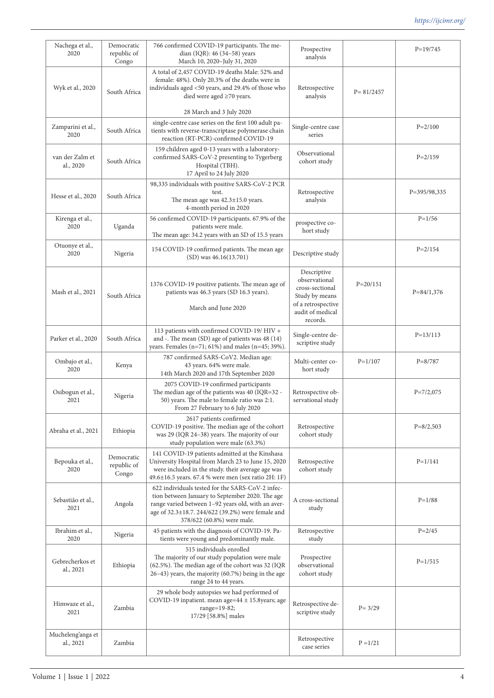| Nachega et al.,<br>2020        | Democratic<br>republic of<br>Congo | 766 confirmed COVID-19 participants. The me-<br>dian (IQR): 46 (34-58) years<br>March 10, 2020-July 31, 2020                                                                                                                                 | Prospective<br>analysis                                                                                                 |               | $P=19/745$     |
|--------------------------------|------------------------------------|----------------------------------------------------------------------------------------------------------------------------------------------------------------------------------------------------------------------------------------------|-------------------------------------------------------------------------------------------------------------------------|---------------|----------------|
| Wyk et al., 2020               | South Africa                       | A total of 2,457 COVID-19 deaths Male: 52% and<br>female: 48%). Only 20.3% of the deaths were in<br>individuals aged <50 years, and 29.4% of those who<br>died were aged ≥70 years.                                                          | Retrospective<br>analysis                                                                                               | $P = 81/2457$ |                |
|                                |                                    | 28 March and 3 July 2020                                                                                                                                                                                                                     |                                                                                                                         |               |                |
| Zamparini et al.,<br>2020      | South Africa                       | single-centre case series on the first 100 adult pa-<br>tients with reverse-transcriptase polymerase chain<br>reaction (RT-PCR)-confirmed COVID-19                                                                                           | Single-centre case<br>series                                                                                            |               | $P = 2/100$    |
| van der Zalm et<br>al., 2020   | South Africa                       | 159 children aged 0-13 years with a laboratory-<br>confirmed SARS-CoV-2 presenting to Tygerberg<br>Hospital (TBH).<br>17 April to 24 July 2020                                                                                               | Observational<br>cohort study                                                                                           |               | $P = 2/159$    |
| Hesse et al., 2020             | South Africa                       | 98,335 individuals with positive SARS-CoV-2 PCR<br>test.<br>The mean age was $42.3 \pm 15.0$ years.<br>4-month period in 2020                                                                                                                | Retrospective<br>analysis                                                                                               |               | P=395/98,335   |
| Kirenga et al.,<br>2020        | Uganda                             | 56 confirmed COVID-19 participants. 67.9% of the<br>patients were male.<br>The mean age: 34.2 years with an SD of 15.5 years                                                                                                                 | prospective co-<br>hort study                                                                                           |               | $P = 1/56$     |
| Otuonye et al.,<br>2020        | Nigeria                            | 154 COVID-19 confirmed patients. The mean age<br>$(SD)$ was 46.16 $(13.701)$                                                                                                                                                                 | Descriptive study                                                                                                       |               | $P = 2/154$    |
| Mash et al., 2021              | South Africa                       | 1376 COVID-19 positive patients. The mean age of<br>patients was 46.3 years (SD 16.3 years).<br>March and June 2020                                                                                                                          | Descriptive<br>observational<br>cross-sectional<br>Study by means<br>of a retrospective<br>audit of medical<br>records. | $P = 20/151$  | $P = 84/1,376$ |
| Parker et al., 2020            | South Africa                       | 113 patients with confirmed COVID-19/ HIV +<br>and -. The mean (SD) age of patients was 48 (14)<br>years. Females (n=71; 61%) and males (n=45; 39%).                                                                                         | Single-centre de-<br>scriptive study                                                                                    |               | $P=13/113$     |
| Ombajo et al.,<br>2020         | Kenya                              | 787 confirmed SARS-CoV2. Median age:<br>43 years. 64% were male.<br>14th March 2020 and 17th September 2020                                                                                                                                  | Multi-center co-<br>hort study                                                                                          | $P = 1/107$   | $P = 8/787$    |
| Osibogun et al.,<br>2021       | Nigeria                            | 2075 COVID-19 confirmed participants<br>The median age of the patients was 40 (IQR=32 -<br>50) years. The male to female ratio was 2:1.<br>From 27 February to 6 July 2020                                                                   | Retrospective ob-<br>servational study                                                                                  |               | $P = 7/2,075$  |
| Abraha et al., 2021            | Ethiopia                           | 2617 patients confirmed<br>COVID-19 positive. The median age of the cohort<br>was 29 (IQR 24-38) years. The majority of our<br>study population were male (63.3%)                                                                            | Retrospective<br>cohort study                                                                                           |               | $P = 8/2,503$  |
| Bepouka et al.,<br>2020        | Democratic<br>republic of<br>Congo | 141 COVID-19 patients admitted at the Kinshasa<br>University Hospital from March 23 to June 15, 2020<br>were included in the study. their average age was<br>49.6±16.5 years. 67.4 % were men (sex ratio 2H: 1F)                             | Retrospective<br>cohort study                                                                                           |               | $P = 1/141$    |
| Sebastião et al.,<br>2021      | Angola                             | 622 individuals tested for the SARS-CoV-2 infec-<br>tion between January to September 2020. The age<br>range varied between 1-92 years old, with an aver-<br>age of 32.3±18.7. 244/622 (39.2%) were female and<br>378/622 (60.8%) were male. | A cross-sectional<br>study                                                                                              |               | $P = 1/88$     |
| Ibrahim et al.,<br>2020        | Nigeria                            | 45 patients with the diagnosis of COVID-19. Pa-<br>tients were young and predominantly male.                                                                                                                                                 | Retrospective<br>study                                                                                                  |               | $P = 2/45$     |
| Gebrecherkos et<br>al., 2021   | Ethiopia                           | 515 individuals enrolled<br>The majority of our study population were male<br>(62.5%). The median age of the cohort was 32 (IQR<br>26-43) years, the majority (60.7%) being in the age<br>range 24 to 44 years.                              | Prospective<br>observational<br>cohort study                                                                            |               | $P = 1/515$    |
| Himwaze et al.,<br>2021        | Zambia                             | 29 whole body autopsies we had performed of<br>COVID-19 inpatient. mean age=44 ± 15.8years; age<br>range=19-82;<br>17/29 [58.8%] males                                                                                                       | Retrospective de-<br>scriptive study                                                                                    | $P = 3/29$    |                |
| Mucheleng'anga et<br>al., 2021 | Zambia                             |                                                                                                                                                                                                                                              | Retrospective<br>case series                                                                                            | $P = 1/21$    |                |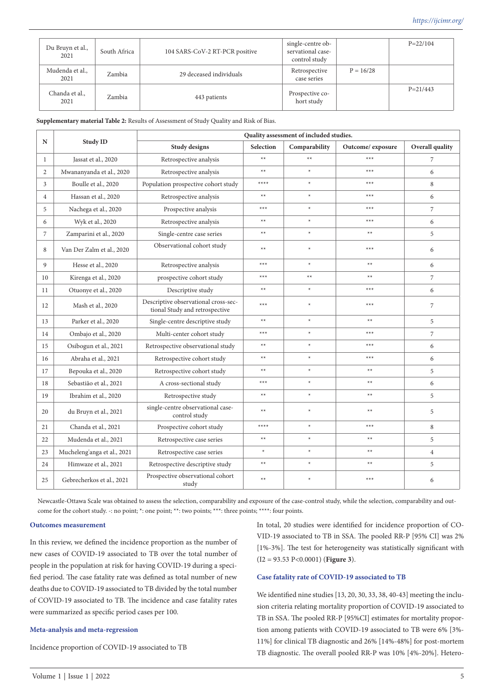| Du Bruyn et al.,<br>2021 | South Africa | 104 SARS-CoV-2 RT-PCR positive | single-centre ob-<br>servational case-<br>control study |             | $P = 22/104$ |
|--------------------------|--------------|--------------------------------|---------------------------------------------------------|-------------|--------------|
| Mudenda et al.,<br>2021  | Zambia       | 29 deceased individuals        | Retrospective<br>case series                            | $P = 16/28$ |              |
| Chanda et al.,<br>2021   | Zambia       | 443 patients                   | Prospective co-<br>hort study                           |             | $P = 21/443$ |

**Supplementary material Table 2:** Results of Assessment of Study Quality and Risk of Bias.

|                |                             | Quality assessment of included studies.                                |                  |               |                   |                 |
|----------------|-----------------------------|------------------------------------------------------------------------|------------------|---------------|-------------------|-----------------|
| N              | <b>Study ID</b>             | Study designs                                                          | <b>Selection</b> | Comparability | Outcome/ exposure | Overall quality |
| 1              | Jassat et al., 2020         | Retrospective analysis                                                 | $**$             | $**$          | $***$             | $\overline{7}$  |
| 2              | Mwananyanda et al., 2020    | Retrospective analysis                                                 | $**$             | $\star$       | $***$             | 6               |
| 3              | Boulle et al., 2020         | Population prospective cohort study                                    | ****             | $\star$       | $***$             | 8               |
| $\overline{4}$ | Hassan et al., 2020         | Retrospective analysis                                                 | $**$             | $\star$       | $***$             | 6               |
| 5              | Nachega et al., 2020        | Prospective analysis                                                   | $***$            | $\star$       | $***$             | $\overline{7}$  |
| 6              | Wyk et al., 2020            | Retrospective analysis                                                 | $**$             | $\star$       | $***$             | 6               |
| $\overline{7}$ | Zamparini et al., 2020      | Single-centre case series                                              | $**$             | $\star$       | $**$              | 5               |
| 8              | Van Der Zalm et al., 2020   | Observational cohort study                                             | $**$             | $\star$       | $***$             | 6               |
| $\mathbf{Q}$   | Hesse et al., 2020          | Retrospective analysis                                                 | $***$            | $\star$       | $**$              | 6               |
| 10             | Kirenga et al., 2020        | prospective cohort study                                               | $***$            | $**$          | $**$              | 7               |
| 11             | Otuonye et al., 2020        | Descriptive study                                                      | $**$             | $\star$       | $***$             | 6               |
| 12             | Mash et al., 2020           | Descriptive observational cross-sec-<br>tional Study and retrospective | $***$            | $\ast$        | $***$             | $\overline{7}$  |
| 13             | Parker et al., 2020         | Single-centre descriptive study                                        | $**$             | $\star$       | $**$              | 5               |
| 14             | Ombajo et al., 2020         | Multi-center cohort study                                              | $***$            | $\star$       | $***$             | $\overline{7}$  |
| 15             | Osibogun et al., 2021       | Retrospective observational study                                      | $**$             | $\star$       | $***$             | 6               |
| 16             | Abraha et al., 2021         | Retrospective cohort study                                             | $**$             | $\star$       | $***$             | 6               |
| 17             | Bepouka et al., 2020        | Retrospective cohort study                                             | $**$             | $\star$       | $**$              | 5               |
| 18             | Sebastião et al., 2021      | A cross-sectional study                                                | $***$            | $\star$       | $**$              | 6               |
| 19             | Ibrahim et al., 2020        | Retrospective study                                                    | $**$             | $\star$       | $**$              | 5               |
| 20             | du Bruyn et al., 2021       | single-centre observational case-<br>control study                     | $**$             | $\star$       | $**$              | 5               |
| 21             | Chanda et al., 2021         | Prospective cohort study                                               | ****             | $\star$       | $***$             | 8               |
| 22             | Mudenda et al., 2021        | Retrospective case series                                              | $**$             | $\star$       | $**$              | 5               |
| 23             | Mucheleng'anga et al., 2021 | Retrospective case series                                              | $\ast$           | $\ast$        | $**$              | $\overline{4}$  |
| 24             | Himwaze et al., 2021        | Retrospective descriptive study                                        | $**$             | $\star$       | $**$              | 5               |
| 25             | Gebrecherkos et al., 2021   | Prospective observational cohort<br>study                              | $**$             | $\star$       | $***$             | 6               |

Newcastle-Ottawa Scale was obtained to assess the selection, comparability and exposure of the case-control study, while the selection, comparability and outcome for the cohort study. -: no point; \*: one point; \*\*: two points; \*\*\*: three points; \*\*\*\*: four points.

### **Outcomes measurement**

In this review, we defined the incidence proportion as the number of new cases of COVID-19 associated to TB over the total number of people in the population at risk for having COVID-19 during a specified period. The case fatality rate was defined as total number of new deaths due to COVID-19 associated to TB divided by the total number of COVID-19 associated to TB. The incidence and case fatality rates were summarized as specific period cases per 100.

#### **Meta-analysis and meta-regression**

Incidence proportion of COVID-19 associated to TB

In total, 20 studies were identified for incidence proportion of CO-VID-19 associated to TB in SSA. The pooled RR-P [95% CI] was 2% [1%-3%]. The test for heterogeneity was statistically significant with (I2 = 93.53 P<0.0001) (**Figure 3**).

# **Case fatality rate of COVID-19 associated to TB**

We identified nine studies [13, 20, 30, 33, 38, 40-43] meeting the inclusion criteria relating mortality proportion of COVID-19 associated to TB in SSA. The pooled RR-P [95%CI] estimates for mortality proportion among patients with COVID-19 associated to TB were 6% [3%- 11%] for clinical TB diagnostic and 26% [14%-48%] for post-mortem TB diagnostic. The overall pooled RR-P was 10% [4%-20%]. Hetero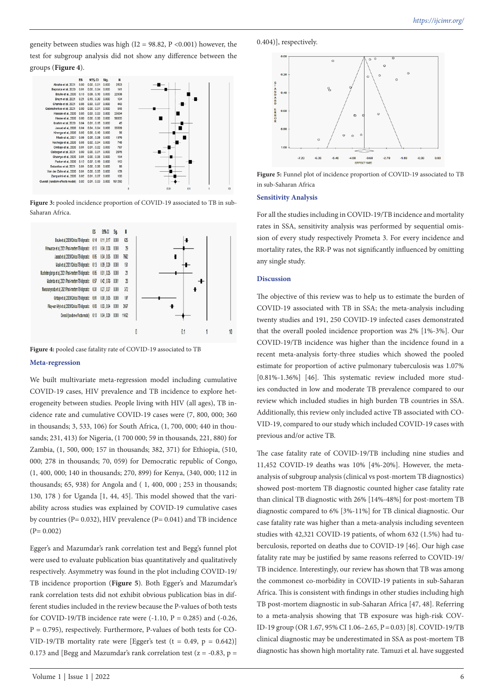geneity between studies was high (I2 = 98.82, P < 0.001) however, the test for subgroup analysis did not show any difference between the groups (**Figure 4**).



Figure 3: pooled incidence proportion of COVID-19 associated to TB in sub-Saharan Africa.



Figure 4: pooled case fatality rate of COVID-19 associated to TB

### **Meta-regression**

We built multivariate meta-regression model including cumulative COVID-19 cases, HIV prevalence and TB incidence to explore heterogeneity between studies. People living with HIV (all ages), TB incidence rate and cumulative COVID-19 cases were (7, 800, 000; 360 in thousands; 3, 533, 106) for South Africa, (1, 700, 000; 440 in thousands; 231, 413) for Nigeria, (1 700 000; 59 in thousands, 221, 880) for Zambia, (1, 500, 000; 157 in thousands; 382, 371) for Ethiopia, (510, 000; 278 in thousands; 70, 059) for Democratic republic of Congo, (1, 400, 000; 140 in thousands; 270, 899) for Kenya, (340, 000; 112 in thousands; 65, 938) for Angola and ( 1, 400, 000 ; 253 in thousands; 130, 178 ) for Uganda [1, 44, 45]. This model showed that the variability across studies was explained by COVID-19 cumulative cases by countries (P= 0.032), HIV prevalence (P= 0.041) and TB incidence  $(P= 0.002)$ 

Egger's and Mazumdar's rank correlation test and Begg's funnel plot were used to evaluate publication bias quantitatively and qualitatively respectively. Asymmetry was found in the plot including COVID-19/ TB incidence proportion (**Figure 5**). Both Egger's and Mazumdar's rank correlation tests did not exhibit obvious publication bias in different studies included in the review because the P-values of both tests for COVID-19/TB incidence rate were  $(-1.10, P = 0.285)$  and  $(-0.26,$  $P = 0.795$ ), respectively. Furthermore, P-values of both tests for CO-VID-19/TB mortality rate were [Egger's test (t = 0.49, p = 0.642)] 0.173 and [Begg and Mazumdar's rank correlation test ( $z = -0.83$ ,  $p =$ 

0.404)], respectively.



**Figure 5:** Funnel plot of incidence proportion of COVID-19 associated to TB in sub-Saharan Africa

### **Sensitivity Analysis**

For all the studies including in COVID-19/TB incidence and mortality rates in SSA, sensitivity analysis was performed by sequential omission of every study respectively Prometa 3. For every incidence and mortality rates, the RR-P was not significantly influenced by omitting any single study.

### **Discussion**

The objective of this review was to help us to estimate the burden of COVID-19 associated with TB in SSA; the meta‐analysis including twenty studies and 191, 250 COVID-19 infected cases demonstrated that the overall pooled incidence proportion was 2% [1%-3%]. Our COVID-19/TB incidence was higher than the incidence found in a recent meta-analysis forty-three studies which showed the pooled estimate for proportion of active pulmonary tuberculosis was 1.07% [0.81%-1.36%] [46]. This systematic review included more studies conducted in low and moderate TB prevalence compared to our review which included studies in high burden TB countries in SSA. Additionally, this review only included active TB associated with CO-VID-19, compared to our study which included COVID-19 cases with previous and/or active TB.

The case fatality rate of COVID-19/TB including nine studies and 11,452 COVID-19 deaths was 10% [4%-20%]. However, the metaanalysis of subgroup analysis (clinical vs post-mortem TB diagnostics) showed post-mortem TB diagnostic counted higher case fatality rate than clinical TB diagnostic with 26% [14%-48%] for post-mortem TB diagnostic compared to 6% [3%-11%] for TB clinical diagnostic. Our case fatality rate was higher than a meta-analysis including seventeen studies with 42,321 COVID-19 patients, of whom 632 (1.5%) had tuberculosis, reported on deaths due to COVID-19 [46]. Our high case fatality rate may be justified by same reasons referred to COVID-19/ TB incidence. Interestingly, our review has shown that TB was among the commonest co-morbidity in COVID-19 patients in sub-Saharan Africa. This is consistent with findings in other studies including high TB post-mortem diagnostic in sub-Saharan Africa [47, 48]. Referring to a meta-analysis showing that TB exposure was high-risk COV-ID-19 group (OR 1.67, 95% CI 1.06–2.65, P=0.03) [8]. COVID-19/TB clinical diagnostic may be underestimated in SSA as post-mortem TB diagnostic has shown high mortality rate. Tamuzi et al. have suggested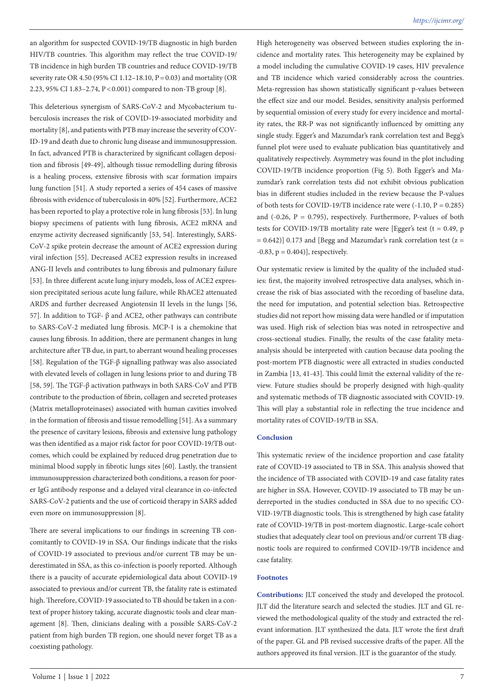an algorithm for suspected COVID-19/TB diagnostic in high burden HIV/TB countries. This algorithm may reflect the true COVID-19/ TB incidence in high burden TB countries and reduce COVID-19/TB severity rate OR 4.50 (95% CI 1.12–18.10, P=0.03) and mortality (OR 2.23, 95% CI 1.83–2.74, P<0.001) compared to non-TB group [8].

This deleterious synergism of SARS-CoV-2 and Mycobacterium tuberculosis increases the risk of COVID-19-associated morbidity and mortality [8], and patients with PTB may increase the severity of COV-ID-19 and death due to chronic lung disease and immunosuppression. In fact, advanced PTB is characterized by significant collagen deposition and fibrosis [49-49], although tissue remodelling during fibrosis is a healing process, extensive fibrosis with scar formation impairs lung function [51]. A study reported a series of 454 cases of massive fibrosis with evidence of tuberculosis in 40% [52]. Furthermore, ACE2 has been reported to play a protective role in lung fibrosis [53]. In lung biopsy specimens of patients with lung fibrosis, ACE2 mRNA and enzyme activity decreased significantly [53, 54]. Interestingly, SARS-CoV-2 spike protein decrease the amount of ACE2 expression during viral infection [55]. Decreased ACE2 expression results in increased ANG-II levels and contributes to lung fibrosis and pulmonary failure [53]. In three different acute lung injury models, loss of ACE2 expression precipitated serious acute lung failure, while RhACE2 attenuated ARDS and further decreased Angiotensin II levels in the lungs [56, 57]. In addition to TGF- β and ACE2, other pathways can contribute to SARS-CoV-2 mediated lung fibrosis. MCP-1 is a chemokine that causes lung fibrosis. In addition, there are permanent changes in lung architecture after TB due, in part, to aberrant wound healing processes [58]. Regulation of the TGF-β signalling pathway was also associated with elevated levels of collagen in lung lesions prior to and during TB [58, 59]. The TGF-β activation pathways in both SARS-CoV and PTB contribute to the production of fibrin, collagen and secreted proteases (Matrix metalloproteinases) associated with human cavities involved in the formation of fibrosis and tissue remodelling [51]. As a summary the presence of cavitary lesions, fibrosis and extensive lung pathology was then identified as a major risk factor for poor COVID-19/TB outcomes, which could be explained by reduced drug penetration due to minimal blood supply in fibrotic lungs sites [60]. Lastly, the transient immunosuppression characterized both conditions, a reason for poorer IgG antibody response and a delayed viral clearance in co-infected SARS-CoV-2 patients and the use of corticoid therapy in SARS added even more on immunosuppression [8].

There are several implications to our findings in screening TB concomitantly to COVID-19 in SSA. Our findings indicate that the risks of COVID-19 associated to previous and/or current TB may be underestimated in SSA, as this co-infection is poorly reported. Although there is a paucity of accurate epidemiological data about COVID-19 associated to previous and/or current TB, the fatality rate is estimated high. Therefore, COVID-19 associated to TB should be taken in a context of proper history taking, accurate diagnostic tools and clear management [8]. Then, clinicians dealing with a possible SARS-CoV-2 patient from high burden TB region, one should never forget TB as a coexisting pathology.

High heterogeneity was observed between studies exploring the incidence and mortality rates. This heterogeneity may be explained by a model including the cumulative COVID-19 cases, HIV prevalence and TB incidence which varied considerably across the countries. Meta-regression has shown statistically significant p-values between the effect size and our model. Besides, sensitivity analysis performed by sequential omission of every study for every incidence and mortality rates, the RR-P was not significantly influenced by omitting any single study. Egger's and Mazumdar's rank correlation test and Begg's funnel plot were used to evaluate publication bias quantitatively and qualitatively respectively. Asymmetry was found in the plot including COVID-19/TB incidence proportion (Fig 5). Both Egger's and Mazumdar's rank correlation tests did not exhibit obvious publication bias in different studies included in the review because the P-values of both tests for COVID-19/TB incidence rate were  $(-1.10, P = 0.285)$ and  $(-0.26, P = 0.795)$ , respectively. Furthermore, P-values of both tests for COVID-19/TB mortality rate were [Egger's test ( $t = 0.49$ , p  $= 0.642$ ] 0.173 and [Begg and Mazumdar's rank correlation test (z =  $-0.83$ ,  $p = 0.404$ ], respectively.

Our systematic review is limited by the quality of the included studies: first, the majority involved retrospective data analyses, which increase the risk of bias associated with the recording of baseline data, the need for imputation, and potential selection bias. Retrospective studies did not report how missing data were handled or if imputation was used. High risk of selection bias was noted in retrospective and cross-sectional studies. Finally, the results of the case fatality meta‐ analysis should be interpreted with caution because data pooling the post-mortem PTB diagnostic were all extracted in studies conducted in Zambia [13, 41-43]. This could limit the external validity of the review. Future studies should be properly designed with high-quality and systematic methods of TB diagnostic associated with COVID-19. This will play a substantial role in reflecting the true incidence and mortality rates of COVID-19/TB in SSA.

# **Conclusion**

This systematic review of the incidence proportion and case fatality rate of COVID-19 associated to TB in SSA. This analysis showed that the incidence of TB associated with COVID-19 and case fatality rates are higher in SSA. However, COVID-19 associated to TB may be underreported in the studies conducted in SSA due to no specific CO-VID-19/TB diagnostic tools. This is strengthened by high case fatality rate of COVID-19/TB in post-mortem diagnostic. Large-scale cohort studies that adequately clear tool on previous and/or current TB diagnostic tools are required to confirmed COVID-19/TB incidence and case fatality.

# **Footnotes**

**Contributions:** JLT conceived the study and developed the protocol. JLT did the literature search and selected the studies. JLT and GL reviewed the methodological quality of the study and extracted the relevant information. JLT synthesized the data. JLT wrote the first draft of the paper. GL and PB revised successive drafts of the paper. All the authors approved its final version. JLT is the guarantor of the study.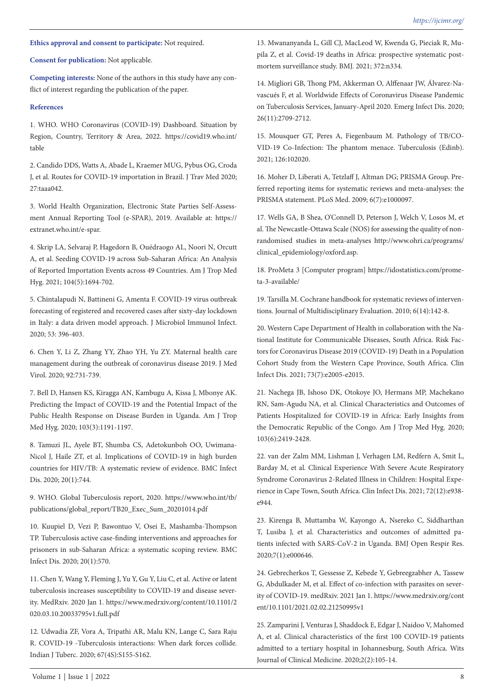# **Ethics approval and consent to participate:** Not required.

**Consent for publication:** Not applicable.

**Competing interests:** None of the authors in this study have any conflict of interest regarding the publication of the paper.

## **References**

1. WHO. WHO Coronavirus (COVID-19) Dashboard. Situation by Region, Country, Territory & Area, 2022. https://covid19.who.int/ table

2. Candido DDS, Watts A, Abade L, Kraemer MUG, Pybus OG, Croda J, et al. Routes for COVID-19 importation in Brazil. J Trav Med 2020; 27:taaa042.

3. World Health Organization, Electronic State Parties Self-Assessment Annual Reporting Tool (e-SPAR), 2019. Available at: https:// extranet.who.int/e-spar.

4. Skrip LA, Selvaraj P, Hagedorn B, Ouédraogo AL, Noori N, Orcutt A, et al. Seeding COVID-19 across Sub-Saharan Africa: An Analysis of Reported Importation Events across 49 Countries. Am J Trop Med Hyg. 2021; 104(5):1694-702.

5. Chintalapudi N, Battineni G, Amenta F. COVID-19 virus outbreak forecasting of registered and recovered cases after sixty-day lockdown in Italy: a data driven model approach. J Microbiol Immunol Infect. 2020; 53: 396-403.

6. Chen Y, Li Z, Zhang YY, Zhao YH, Yu ZY. Maternal health care management during the outbreak of coronavirus disease 2019. J Med Virol. 2020; 92:731-739.

7. Bell D, Hansen KS, Kiragga AN, Kambugu A, Kissa J, Mbonye AK. Predicting the Impact of COVID-19 and the Potential Impact of the Public Health Response on Disease Burden in Uganda. Am J Trop Med Hyg. 2020; 103(3):1191-1197.

8. Tamuzi JL, Ayele BT, Shumba CS, Adetokunboh OO, Uwimana-Nicol J, Haile ZT, et al. Implications of COVID-19 in high burden countries for HIV/TB: A systematic review of evidence. BMC Infect Dis. 2020; 20(1):744.

9. WHO. Global Tuberculosis report, 2020. https://www.who.int/tb/ publications/global\_report/TB20\_Exec\_Sum\_20201014.pdf

10. Kuupiel D, Vezi P, Bawontuo V, Osei E, Mashamba-Thompson TP. Tuberculosis active case-finding interventions and approaches for prisoners in sub-Saharan Africa: a systematic scoping review. BMC Infect Dis. 2020; 20(1):570.

11. Chen Y, Wang Y, Fleming J, Yu Y, Gu Y, Liu C, et al. Active or latent tuberculosis increases susceptibility to COVID-19 and disease severity. MedRxiv. 2020 Jan 1. https://www.medrxiv.org/content/10.1101/2 020.03.10.20033795v1.full.pdf

12. Udwadia ZF, Vora A, Tripathi AR, Malu KN, Lange C, Sara Raju R. COVID-19 -Tuberculosis interactions: When dark forces collide. Indian J Tuberc. 2020; 67(4S):S155-S162.

13. Mwananyanda L, Gill CJ, MacLeod W, Kwenda G, Pieciak R, Mupila Z, et al. Covid-19 deaths in Africa: prospective systematic postmortem surveillance study. BMJ. 2021; 372:n334.

14. Migliori GB, Thong PM, Akkerman O, Alffenaar JW, Álvarez-Navascués F, et al. Worldwide Effects of Coronavirus Disease Pandemic on Tuberculosis Services, January-April 2020. Emerg Infect Dis. 2020; 26(11):2709-2712.

15. Mousquer GT, Peres A, Fiegenbaum M. Pathology of TB/CO-VID-19 Co-Infection: The phantom menace. Tuberculosis (Edinb). 2021; 126:102020.

16. Moher D, Liberati A, Tetzlaff J, Altman DG; PRISMA Group. Preferred reporting items for systematic reviews and meta-analyses: the PRISMA statement. PLoS Med. 2009; 6(7):e1000097.

17. Wells GA, B Shea, O'Connell D, Peterson J, Welch V, Losos M, et al. The Newcastle-Ottawa Scale (NOS) for assessing the quality of nonrandomised studies in meta-analyses http://www.ohri.ca/programs/ clinical\_epidemiology/oxford.asp.

18. ProMeta 3 [Computer program] https://idostatistics.com/prometa-3-available/

19. Tarsilla M. Cochrane handbook for systematic reviews of interventions. Journal of Multidisciplinary Evaluation. 2010; 6(14):142-8.

20. Western Cape Department of Health in collaboration with the National Institute for Communicable Diseases, South Africa. Risk Factors for Coronavirus Disease 2019 (COVID-19) Death in a Population Cohort Study from the Western Cape Province, South Africa. Clin Infect Dis. 2021; 73(7):e2005-e2015.

21. Nachega JB, Ishoso DK, Otokoye JO, Hermans MP, Machekano RN, Sam-Agudu NA, et al. Clinical Characteristics and Outcomes of Patients Hospitalized for COVID-19 in Africa: Early Insights from the Democratic Republic of the Congo. Am J Trop Med Hyg. 2020; 103(6):2419-2428.

22. van der Zalm MM, Lishman J, Verhagen LM, Redfern A, Smit L, Barday M, et al. Clinical Experience With Severe Acute Respiratory Syndrome Coronavirus 2-Related Illness in Children: Hospital Experience in Cape Town, South Africa. Clin Infect Dis. 2021; 72(12):e938 e944.

23. Kirenga B, Muttamba W, Kayongo A, Nsereko C, Siddharthan T, Lusiba J, et al. Characteristics and outcomes of admitted patients infected with SARS-CoV-2 in Uganda. BMJ Open Respir Res. 2020;7(1):e000646.

24. Gebrecherkos T, Gessesse Z, Kebede Y, Gebreegzabher A, Tassew G, Abdulkader M, et al. Effect of co-infection with parasites on severity of COVID-19. medRxiv. 2021 Jan 1. https://www.medrxiv.org/cont ent/10.1101/2021.02.02.21250995v1

25. Zamparini J, Venturas J, Shaddock E, Edgar J, Naidoo V, Mahomed A, et al. Clinical characteristics of the first 100 COVID-19 patients admitted to a tertiary hospital in Johannesburg, South Africa. Wits Journal of Clinical Medicine. 2020;2(2):105-14.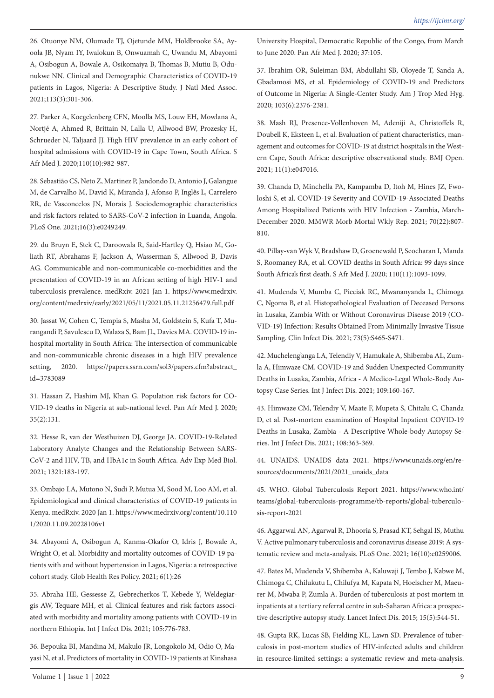26. Otuonye NM, Olumade TJ, Ojetunde MM, Holdbrooke SA, Ayoola JB, Nyam IY, Iwalokun B, Onwuamah C, Uwandu M, Abayomi A, Osibogun A, Bowale A, Osikomaiya B, Thomas B, Mutiu B, Odunukwe NN. Clinical and Demographic Characteristics of COVID-19 patients in Lagos, Nigeria: A Descriptive Study. J Natl Med Assoc. 2021;113(3):301-306.

27. Parker A, Koegelenberg CFN, Moolla MS, Louw EH, Mowlana A, Nortjé A, Ahmed R, Brittain N, Lalla U, Allwood BW, Prozesky H, Schrueder N, Taljaard JJ. High HIV prevalence in an early cohort of hospital admissions with COVID-19 in Cape Town, South Africa. S Afr Med J. 2020;110(10):982-987.

28. Sebastião CS, Neto Z, Martinez P, Jandondo D, Antonio J, Galangue M, de Carvalho M, David K, Miranda J, Afonso P, Inglês L, Carrelero RR, de Vasconcelos JN, Morais J. Sociodemographic characteristics and risk factors related to SARS-CoV-2 infection in Luanda, Angola. PLoS One. 2021;16(3):e0249249.

29. du Bruyn E, Stek C, Daroowala R, Said-Hartley Q, Hsiao M, Goliath RT, Abrahams F, Jackson A, Wasserman S, Allwood B, Davis AG. Communicable and non-communicable co-morbidities and the presentation of COVID-19 in an African setting of high HIV-1 and tuberculosis prevalence. medRxiv. 2021 Jan 1. https://www.medrxiv. org/content/medrxiv/early/2021/05/11/2021.05.11.21256479.full.pdf

30. Jassat W, Cohen C, Tempia S, Masha M, Goldstein S, Kufa T, Murangandi P, Savulescu D, Walaza S, Bam JL, Davies MA. COVID-19 inhospital mortality in South Africa: The intersection of communicable and non-communicable chronic diseases in a high HIV prevalence setting, 2020. https://papers.ssrn.com/sol3/papers.cfm?abstract\_ id=3783089

31. Hassan Z, Hashim MJ, Khan G. Population risk factors for CO-VID-19 deaths in Nigeria at sub-national level. Pan Afr Med J. 2020; 35(2):131.

32. Hesse R, van der Westhuizen DJ, George JA. COVID-19-Related Laboratory Analyte Changes and the Relationship Between SARS-CoV-2 and HIV, TB, and HbA1c in South Africa. Adv Exp Med Biol. 2021; 1321:183-197.

33. Ombajo LA, Mutono N, Sudi P, Mutua M, Sood M, Loo AM, et al. Epidemiological and clinical characteristics of COVID-19 patients in Kenya. medRxiv. 2020 Jan 1. https://www.medrxiv.org/content/10.110 1/2020.11.09.20228106v1

34. Abayomi A, Osibogun A, Kanma-Okafor O, Idris J, Bowale A, Wright O, et al. Morbidity and mortality outcomes of COVID-19 patients with and without hypertension in Lagos, Nigeria: a retrospective cohort study. Glob Health Res Policy. 2021; 6(1):26

35. Abraha HE, Gessesse Z, Gebrecherkos T, Kebede Y, Weldegiargis AW, Tequare MH, et al. Clinical features and risk factors associated with morbidity and mortality among patients with COVID-19 in northern Ethiopia. Int J Infect Dis. 2021; 105:776-783.

36. Bepouka BI, Mandina M, Makulo JR, Longokolo M, Odio O, Mayasi N, et al. Predictors of mortality in COVID-19 patients at Kinshasa University Hospital, Democratic Republic of the Congo, from March to June 2020. Pan Afr Med J. 2020; 37:105.

37. Ibrahim OR, Suleiman BM, Abdullahi SB, Oloyede T, Sanda A, Gbadamosi MS, et al. Epidemiology of COVID-19 and Predictors of Outcome in Nigeria: A Single-Center Study. Am J Trop Med Hyg. 2020; 103(6):2376-2381.

38. Mash RJ, Presence-Vollenhoven M, Adeniji A, Christoffels R, Doubell K, Eksteen L, et al. Evaluation of patient characteristics, management and outcomes for COVID-19 at district hospitals in the Western Cape, South Africa: descriptive observational study. BMJ Open. 2021; 11(1):e047016.

39. Chanda D, Minchella PA, Kampamba D, Itoh M, Hines JZ, Fwoloshi S, et al. COVID-19 Severity and COVID-19-Associated Deaths Among Hospitalized Patients with HIV Infection - Zambia, March-December 2020. MMWR Morb Mortal Wkly Rep. 2021; 70(22):807- 810.

40. Pillay-van Wyk V, Bradshaw D, Groenewald P, Seocharan I, Manda S, Roomaney RA, et al. COVID deaths in South Africa: 99 days since South Africa's first death. S Afr Med J. 2020; 110(11):1093-1099.

41. Mudenda V, Mumba C, Pieciak RC, Mwananyanda L, Chimoga C, Ngoma B, et al. Histopathological Evaluation of Deceased Persons in Lusaka, Zambia With or Without Coronavirus Disease 2019 (CO-VID-19) Infection: Results Obtained From Minimally Invasive Tissue Sampling. Clin Infect Dis. 2021; 73(5):S465-S471.

42. Mucheleng'anga LA, Telendiy V, Hamukale A, Shibemba AL, Zumla A, Himwaze CM. COVID-19 and Sudden Unexpected Community Deaths in Lusaka, Zambia, Africa - A Medico-Legal Whole-Body Autopsy Case Series. Int J Infect Dis. 2021; 109:160-167.

43. Himwaze CM, Telendiy V, Maate F, Mupeta S, Chitalu C, Chanda D, et al. Post-mortem examination of Hospital Inpatient COVID-19 Deaths in Lusaka, Zambia - A Descriptive Whole-body Autopsy Series. Int J Infect Dis. 2021; 108:363-369.

44. UNAIDS. UNAIDS data 2021. https://www.unaids.org/en/resources/documents/2021/2021\_unaids\_data

45. WHO. Global Tuberculosis Report 2021. https://www.who.int/ teams/global-tuberculosis-programme/tb-reports/global-tuberculosis-report-2021

46. Aggarwal AN, Agarwal R, Dhooria S, Prasad KT, Sehgal IS, Muthu V. Active pulmonary tuberculosis and coronavirus disease 2019: A systematic review and meta-analysis. PLoS One. 2021; 16(10):e0259006.

47. Bates M, Mudenda V, Shibemba A, Kaluwaji J, Tembo J, Kabwe M, Chimoga C, Chilukutu L, Chilufya M, Kapata N, Hoelscher M, Maeurer M, Mwaba P, Zumla A. Burden of tuberculosis at post mortem in inpatients at a tertiary referral centre in sub-Saharan Africa: a prospective descriptive autopsy study. Lancet Infect Dis. 2015; 15(5):544-51.

48. Gupta RK, Lucas SB, Fielding KL, Lawn SD. Prevalence of tuberculosis in post-mortem studies of HIV-infected adults and children in resource-limited settings: a systematic review and meta-analysis.